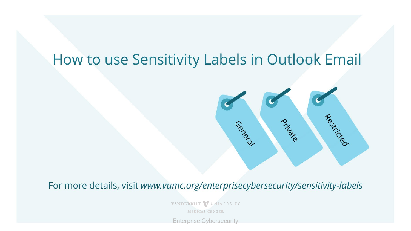# How to use Sensitivity Labels in Outlook Email



For more details, visit www.vumc.org/enterprisecybersecurity/sensitivity-labels

VANDERBILT VUNIVERSITY **MEDICAL CENTER** 

Enterprise Cybersecurity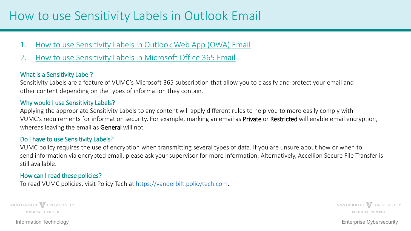### How to use Sensitivity Labels in Outlook Email

- 1. [How to use Sensitivity Labels in Outlook Web App \(OWA\) Email](#page-3-0)
- 2. [How to use Sensitivity Labels in Microsoft Office 365 Email](#page-4-0)

#### What is a Sensitivity Label?

Sensitivity Labels are a feature of VUMC's Microsoft 365 subscription that allow you to classify and protect your email and other content depending on the types of information they contain.

#### Why would I use Sensitivity Labels?

Applying the appropriate Sensitivity Labels to any content will apply different rules to help you to more easily comply with VUMC's requirements for information security. For example, marking an email as Private or Restricted will enable email encryption, whereas leaving the email as General will not.

#### Do I have to use Sensitivity Labels?

VUMC policy requires the use of encryption when transmitting several types of data. If you are unsure about how or when to send information via encrypted email, please ask your supervisor for more information. Alternatively, Accellion Secure File Transfer is still available.

#### How can I read these policies?

To read VUMC policies, visit Policy Tech at [https://vanderbilt.policytech.com.](https://vanderbilt.policytech.com/)

VANDERBILT VUNIVERSITY **MEDICAL CENTER** 

VANDERBILT WUNIVERSITY **MEDICAL CENTER** 

Information Technology Enterprise Cybersecurity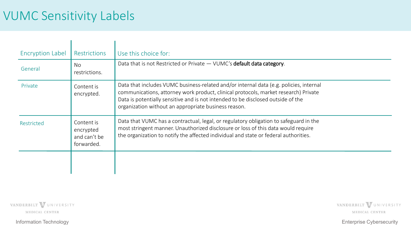### VUMC Sensitivity Labels

| <b>Encryption Label</b> | <b>Restrictions</b>                                   | Use this choice for:                                                                                                                                                                                                                                                                                                      |
|-------------------------|-------------------------------------------------------|---------------------------------------------------------------------------------------------------------------------------------------------------------------------------------------------------------------------------------------------------------------------------------------------------------------------------|
| General                 | <b>No</b><br>restrictions.                            | Data that is not Restricted or Private - VUMC's default data category.                                                                                                                                                                                                                                                    |
| Private                 | Content is<br>encrypted.                              | Data that includes VUMC business-related and/or internal data (e.g. policies, internal<br>communications, attorney work product, clinical protocols, market research) Private<br>Data is potentially sensitive and is not intended to be disclosed outside of the<br>organization without an appropriate business reason. |
| Restricted              | Content is<br>encrypted<br>and can't be<br>forwarded. | Data that VUMC has a contractual, legal, or regulatory obligation to safeguard in the<br>most stringent manner. Unauthorized disclosure or loss of this data would require<br>the organization to notify the affected individual and state or federal authorities.                                                        |
|                         |                                                       |                                                                                                                                                                                                                                                                                                                           |

VANDERBILT VUNIVERSITY MEDICAL CENTER

VANDERBILT VUNIVERSITY MEDICAL CENTER

Information Technology Enterprise Cybersecurity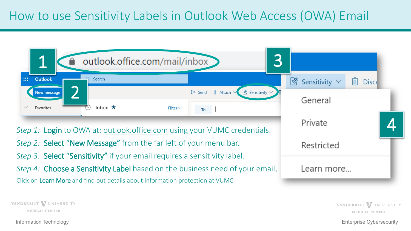### <span id="page-3-0"></span>How to use Sensitivity Labels in Outlook Web Access (OWA) Email

| 3<br>1<br>outlook.office.com/mail/inbox                                                                                                                                                                                                    |                                                |
|--------------------------------------------------------------------------------------------------------------------------------------------------------------------------------------------------------------------------------------------|------------------------------------------------|
| <b>W</b><br><b>Outlook</b><br>Search                                                                                                                                                                                                       | $\frac{1}{2}$ Sensitivity<br>而<br><b>Disca</b> |
| $\mathbb{I}$ Attach $\vee$<br>$\sqrt{\mathcal{S}}$ Sensitivity $\vee$<br>$\triangleright$ Send<br><b>New message</b><br>Inbox $\star$<br>Filter $\vee$<br>Favorites<br>To                                                                  | General                                        |
| Step 1: Login to OWA at: outlook.office.com using your VUMC credentials.                                                                                                                                                                   | Private                                        |
| Step 2: Select "New Message" from the far left of your menu bar.                                                                                                                                                                           | Restricted                                     |
| Step 3: Select "Sensitivity" if your email requires a sensitivity label.<br>Step 4: Choose a Sensitivity Label based on the business need of your email.<br>Click on Learn More and find out details about information protection at VUMC. | Learn more                                     |

VANDERBILT VUNIVERSITY **MEDICAL CENTER** 

Information Technology Enterprise Cybersecurity

VANDERBILT VUNIVERSITY

MEDICAL CENTER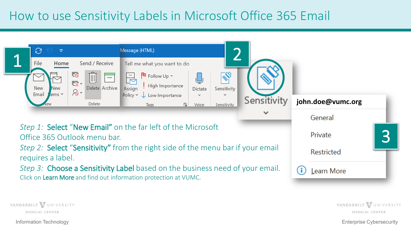### <span id="page-4-0"></span>How to use Sensitivity Labels in Microsoft Office 365 Email



VANDERBILT VUNIVERSITY **MEDICAL CENTER** 

Information Technology Enterprise Cybersecurity

VANDERBILT VUNIVERSITY

**MEDICAL CENTER**